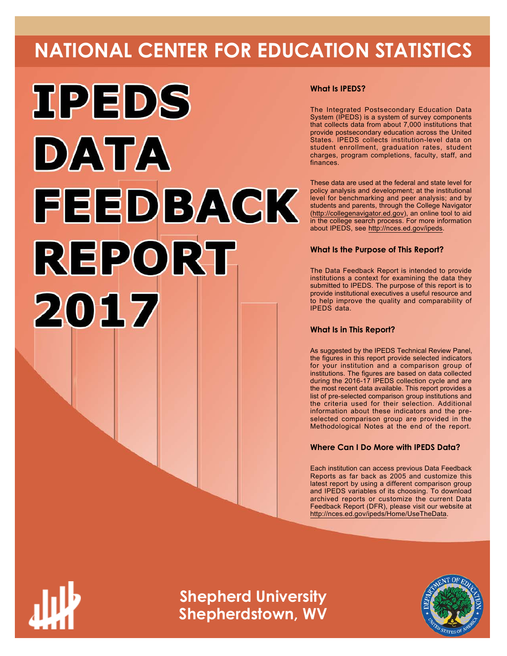# **NATIONAL CENTER FOR EDUCATION STATISTICS**



# **What Is IPEDS?**

The Integrated Postsecondary Education Data System (IPEDS) is a system of survey components that collects data from about 7,000 institutions that provide postsecondary education across the United States. IPEDS collects institution-level data on student enrollment, graduation rates, student charges, program completions, faculty, staff, and finances.

These data are used at the federal and state level for policy analysis and development; at the institutional level for benchmarking and peer analysis; and by students and parents, through the College Navigator ([http://collegenavigator.ed.gov\)](http://collegenavigator.ed.gov), an online tool to aid in the college search process. For more information about IPEDS, see [http://nces.ed.gov/ipeds.](http://nces.ed.gov/ipeds)

# **What Is the Purpose of This Report?**

The Data Feedback Report is intended to provide institutions a context for examining the data they submitted to IPEDS. The purpose of this report is to provide institutional executives a useful resource and to help improve the quality and comparability of IPEDS data.

# **What Is in This Report?**

As suggested by the IPEDS Technical Review Panel, the figures in this report provide selected indicators for your institution and a comparison group of institutions. The figures are based on data collected during the 2016-17 IPEDS collection cycle and are the most recent data available. This report provides a list of pre-selected comparison group institutions and the criteria used for their selection. Additional information about these indicators and the preselected comparison group are provided in the Methodological Notes at the end of the report.

# **Where Can I Do More with IPEDS Data?**

Each institution can access previous Data Feedback Reports as far back as 2005 and customize this latest report by using a different comparison group and IPEDS variables of its choosing. To download archived reports or customize the current Data Feedback Report (DFR), please visit our website at <http://nces.ed.gov/ipeds/Home/UseTheData>.



**Shepherd University Shepherdstown, WV**

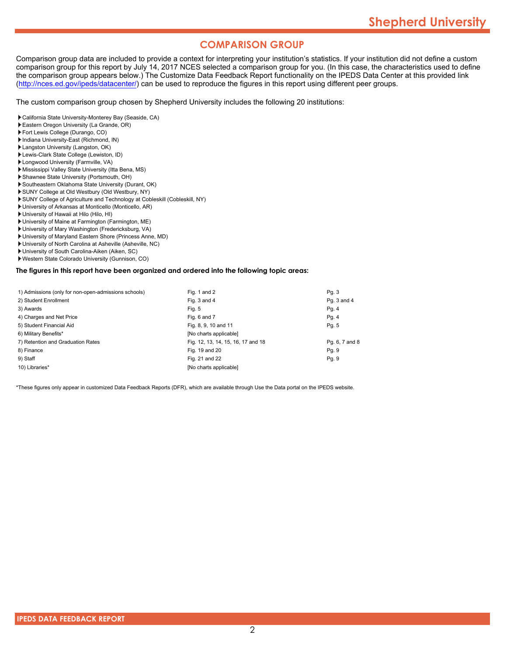# **COMPARISON GROUP**

Comparison group data are included to provide a context for interpreting your institution's statistics. If your institution did not define a custom comparison group for this report by July 14, 2017 NCES selected a comparison group for you. (In this case, the characteristics used to define the comparison group appears below.) The Customize Data Feedback Report functionality on the IPEDS Data Center at this provided link [\(http://nces.ed.gov/ipeds/datacenter/\)](http://nces.ed.gov/ipeds/datacenter/) can be used to reproduce the figures in this report using different peer groups.

The custom comparison group chosen by Shepherd University includes the following 20 institutions:

- California State University-Monterey Bay (Seaside, CA)
- Eastern Oregon University (La Grande, OR)
- Fort Lewis College (Durango, CO)
- Indiana University-East (Richmond, IN)
- Langston University (Langston, OK)
- Lewis-Clark State College (Lewiston, ID)
- Longwood University (Farmville, VA)
- Mississippi Valley State University (Itta Bena, MS)
- Shawnee State University (Portsmouth, OH)
- Southeastern Oklahoma State University (Durant, OK)
- SUNY College at Old Westbury (Old Westbury, NY) SUNY College of Agriculture and Technology at Cobleskill (Cobleskill, NY)
- University of Arkansas at Monticello (Monticello, AR)
- University of Hawaii at Hilo (Hilo, HI)
- University of Maine at Farmington (Farmington, ME)
- University of Mary Washington (Fredericksburg, VA)
- University of Maryland Eastern Shore (Princess Anne, MD)
- University of North Carolina at Asheville (Asheville, NC)
- University of South Carolina-Aiken (Aiken, SC)
- Western State Colorado University (Gunnison, CO)

**The figures in this report have been organized and ordered into the following topic areas:**

| 1) Admissions (only for non-open-admissions schools) | Fig. 1 and 2                       | Pq. 3          |
|------------------------------------------------------|------------------------------------|----------------|
| 2) Student Enrollment                                | Fig. 3 and 4                       | Pq. 3 and 4    |
| 3) Awards                                            | Fig. 5                             | Pg. 4          |
| 4) Charges and Net Price                             | Fig. 6 and 7                       | Pg. 4          |
| 5) Student Financial Aid                             | Fig. 8, 9, 10 and 11               | Pg. 5          |
| 6) Military Benefits*                                | [No charts applicable]             |                |
| 7) Retention and Graduation Rates                    | Fig. 12, 13, 14, 15, 16, 17 and 18 | Pg. 6, 7 and 8 |
| 8) Finance                                           | Fig. 19 and 20                     | Pq. 9          |
| 9) Staff                                             | Fig. 21 and 22                     | Pq. 9          |
| 10) Libraries*                                       | [No charts applicable]             |                |

\*These figures only appear in customized Data Feedback Reports (DFR), which are available through Use the Data portal on the IPEDS website.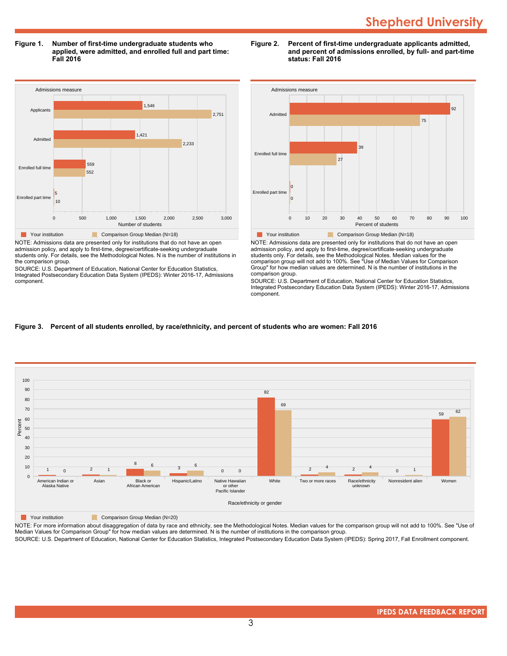**Figure 1. Number of first-time undergraduate students who applied, were admitted, and enrolled full and part time: Fall 2016**



NOTE: Admissions data are presented only for institutions that do not have an open admission policy, and apply to first-time, degree/certificate-seeking undergraduate students only. For details, see the Methodological Notes. N is the number of institutions in the comparison group.

SOURCE: U.S. Department of Education, National Center for Education Statistics, Integrated Postsecondary Education Data System (IPEDS): Winter 2016-17, Admissions component.





NOTE: Admissions data are presented only for institutions that do not have an open admission policy, and apply to first-time, degree/certificate-seeking undergraduate students only. For details, see the Methodological Notes. Median values for the comparison group will not add to 100%. See "Use of Median Values for Comparison Group" for how median values are determined. N is the number of institutions in the comparison group.

SOURCE: U.S. Department of Education, National Center for Education Statistics, Integrated Postsecondary Education Data System (IPEDS): Winter 2016-17, Admissions component.

# **Figure 3. Percent of all students enrolled, by race/ethnicity, and percent of students who are women: Fall 2016**



**The Comparison Group Median (N=20)** Comparison Group Median (N=20)

NOTE: For more information about disaggregation of data by race and ethnicity, see the Methodological Notes. Median values for the comparison group will not add to 100%. See "Use of Median Values for Comparison Group" for how median values are determined. N is the number of institutions in the comparison group.

SOURCE: U.S. Department of Education, National Center for Education Statistics, Integrated Postsecondary Education Data System (IPEDS): Spring 2017, Fall Enrollment component.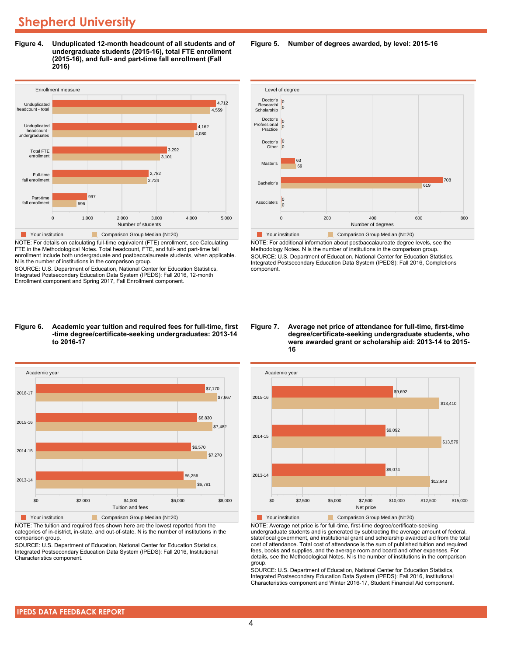**Figure 4. Unduplicated 12-month headcount of all students and of undergraduate students (2015-16), total FTE enrollment (2015-16), and full- and part-time fall enrollment (Fall 2016)**



NOTE: For details on calculating full-time equivalent (FTE) enrollment, see Calculating FTE in the Methodological Notes. Total headcount, FTE, and full- and part-time fall enrollment include both undergraduate and postbaccalaureate students, when applicable. N is the number of institutions in the comparison group.

SOURCE: U.S. Department of Education, National Center for Education Statistics, Integrated Postsecondary Education Data System (IPEDS): Fall 2016, 12-month Enrollment component and Spring 2017, Fall Enrollment component.

#### Level of degree  $\frac{c}{c}$  Doctor's  $\frac{c}{c}$ Master's Doctor's **Other** Doctor's Professional Practice Research/ **Scholarship** 69 63  $\overline{0}$  $\vert$ lo  $\overline{0}$ 0  $|0$



NOTE: For additional information about postbaccalaureate degree levels, see the Methodology Notes. N is the number of institutions in the comparison group. SOURCE: U.S. Department of Education, National Center for Education Statistics, Integrated Postsecondary Education Data System (IPEDS): Fall 2016, Completions component.

#### **Figure 6. Academic year tuition and required fees for full-time, first -time degree/certificate-seeking undergraduates: 2013-14 to 2016-17**



NOTE: The tuition and required fees shown here are the lowest reported from the categories of in-district, in-state, and out-of-state. N is the number of institutions in the comparison group.

SOURCE: U.S. Department of Education, National Center for Education Statistics, Integrated Postsecondary Education Data System (IPEDS): Fall 2016, Institutional Characteristics component.

#### **Figure 7. Average net price of attendance for full-time, first-time degree/certificate-seeking undergraduate students, who were awarded grant or scholarship aid: 2013-14 to 2015- 16**



NOTE: Average net price is for full-time, first-time degree/certificate-seeking undergraduate students and is generated by subtracting the average amount of federal, state/local government, and institutional grant and scholarship awarded aid from the total cost of attendance. Total cost of attendance is the sum of published tuition and required fees, books and supplies, and the average room and board and other expenses. For details, see the Methodological Notes. N is the number of institutions in the comparison group.

SOURCE: U.S. Department of Education, National Center for Education Statistics, Integrated Postsecondary Education Data System (IPEDS): Fall 2016, Institutional Characteristics component and Winter 2016-17, Student Financial Aid component.

**Figure 5. Number of degrees awarded, by level: 2015-16**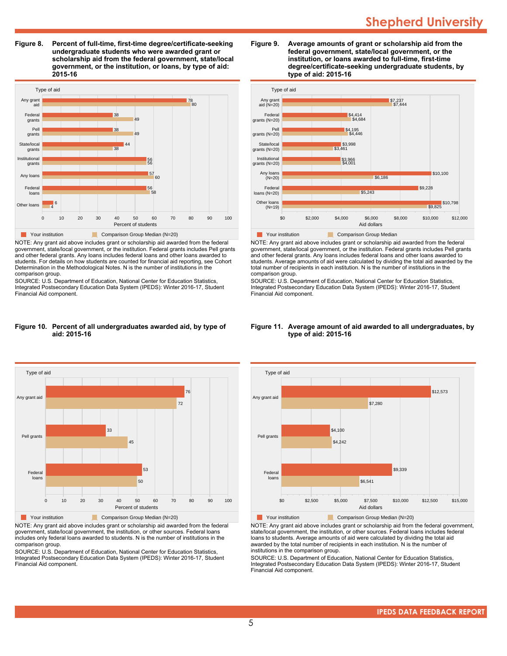**Figure 8. Percent of full-time, first-time degree/certificate-seeking undergraduate students who were awarded grant or scholarship aid from the federal government, state/local government, or the institution, or loans, by type of aid: 2015-16**



NOTE: Any grant aid above includes grant or scholarship aid awarded from the federal government, state/local government, or the institution. Federal grants includes Pell grants and other federal grants. Any loans includes federal loans and other loans awarded to students. For details on how students are counted for financial aid reporting, see Cohort Determination in the Methodological Notes. N is the number of institutions in the comparison group.

SOURCE: U.S. Department of Education, National Center for Education Statistics, Integrated Postsecondary Education Data System (IPEDS): Winter 2016-17, Student Financial Aid component.

#### **Figure 10. Percent of all undergraduates awarded aid, by type of aid: 2015-16**



NOTE: Any grant aid above includes grant or scholarship aid awarded from the federal government, state/local government, the institution, or other sources. Federal loans includes only federal loans awarded to students. N is the number of institutions in the comparison group.

SOURCE: U.S. Department of Education, National Center for Education Statistics, Integrated Postsecondary Education Data System (IPEDS): Winter 2016-17, Student Financial Aid component.





NOTE: Any grant aid above includes grant or scholarship aid awarded from the federal government, state/local government, or the institution. Federal grants includes Pell grants and other federal grants. Any loans includes federal loans and other loans awarded to students. Average amounts of aid were calculated by dividing the total aid awarded by the total number of recipients in each institution. N is the number of institutions in the comparison group.

SOURCE: U.S. Department of Education, National Center for Education Statistics, Integrated Postsecondary Education Data System (IPEDS): Winter 2016-17, Student Financial Aid component.



#### **Figure 11. Average amount of aid awarded to all undergraduates, by type of aid: 2015-16**

Your institution Comparison Group Median (N=20)

NOTE: Any grant aid above includes grant or scholarship aid from the federal government, state/local government, the institution, or other sources. Federal loans includes federal loans to students. Average amounts of aid were calculated by dividing the total aid awarded by the total number of recipients in each institution. N is the number of institutions in the comparison group.

SOURCE: U.S. Department of Education, National Center for Education Statistics, Integrated Postsecondary Education Data System (IPEDS): Winter 2016-17, Student Financial Aid component.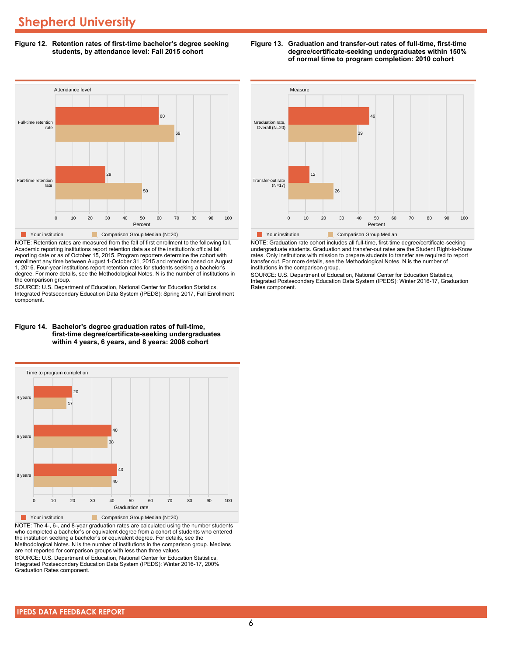**Figure 12. Retention rates of first-time bachelor's degree seeking students, by attendance level: Fall 2015 cohort**



NOTE: Retention rates are measured from the fall of first enrollment to the following fall. Academic reporting institutions report retention data as of the institution's official fall reporting date or as of October 15, 2015. Program reporters determine the cohort with enrollment any time between August 1-October 31, 2015 and retention based on August 1, 2016. Four-year institutions report retention rates for students seeking a bachelor's degree. For more details, see the Methodological Notes. N is the number of institutions in the comparison group.

SOURCE: U.S. Department of Education, National Center for Education Statistics, Integrated Postsecondary Education Data System (IPEDS): Spring 2017, Fall Enrollment component.





**The Comparison Group Median (N=20)** Comparison Group Median (N=20)

NOTE: The 4-, 6-, and 8-year graduation rates are calculated using the number students who completed a bachelor's or equivalent degree from a cohort of students who entered the institution seeking a bachelor's or equivalent degree. For details, see the Methodological Notes. N is the number of institutions in the comparison group. Medians are not reported for comparison groups with less than three values.

SOURCE: U.S. Department of Education, National Center for Education Statistics, Integrated Postsecondary Education Data System (IPEDS): Winter 2016-17, 200% Graduation Rates component.



**Figure 13. Graduation and transfer-out rates of full-time, first-time**

**degree/certificate-seeking undergraduates within 150% of normal time to program completion: 2010 cohort**

**The Your institution Comparison Group Median** 

NOTE: Graduation rate cohort includes all full-time, first-time degree/certificate-seeking undergraduate students. Graduation and transfer-out rates are the Student Right-to-Know rates. Only institutions with mission to prepare students to transfer are required to report transfer out. For more details, see the Methodological Notes. N is the number of institutions in the comparison group.

0 10 20 30 40 50 60 70 80 90 100 Percent

SOURCE: U.S. Department of Education, National Center for Education Statistics, Integrated Postsecondary Education Data System (IPEDS): Winter 2016-17, Graduation Rates component.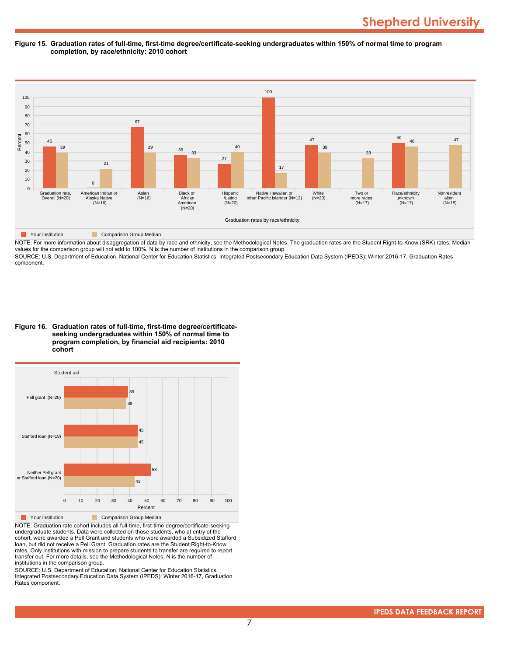#### **Figure 15. Graduation rates of full-time, first-time degree/certificate-seeking undergraduates within 150% of normal time to program completion, by race/ethnicity: 2010 cohort**



NOTE: For more information about disaggregation of data by race and ethnicity, see the Methodological Notes. The graduation rates are the Student Right-to-Know (SRK) rates. Median values for the comparison group will not add to 100%. N is the number of institutions in the comparison group.

SOURCE: U.S. Department of Education, National Center for Education Statistics, Integrated Postsecondary Education Data System (IPEDS): Winter 2016-17, Graduation Rates component.

**Figure 16. Graduation rates of full-time, first-time degree/certificateseeking undergraduates within 150% of normal time to program completion, by financial aid recipients: 2010 cohort**



NOTE: Graduation rate cohort includes all full-time, first-time degree/certificate-seeking undergraduate students. Data were collected on those students, who at entry of the cohort, were awarded a Pell Grant and students who were awarded a Subsidized Stafford loan, but did not receive a Pell Grant. Graduation rates are the Student Right-to-Know rates. Only institutions with mission to prepare students to transfer are required to report transfer out. For more details, see the Methodological Notes. N is the number of institutions in the comparison group.

SOURCE: U.S. Department of Education, National Center for Education Statistics, Integrated Postsecondary Education Data System (IPEDS): Winter 2016-17, Graduation Rates component.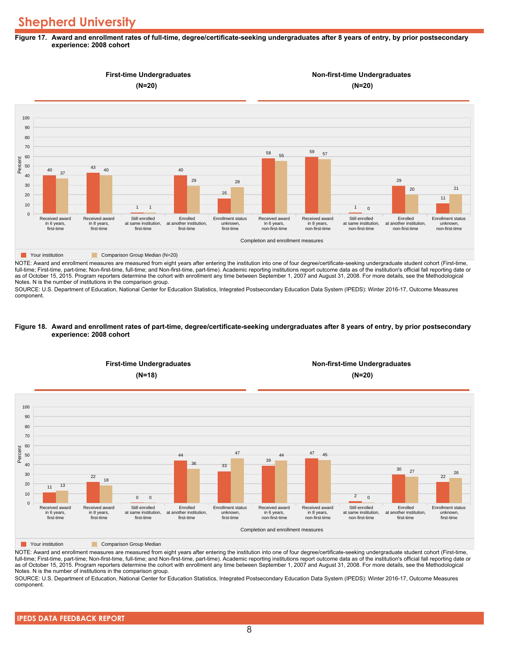#### **Figure 17. Award and enrollment rates of full-time, degree/certificate-seeking undergraduates after 8 years of entry, by prior postsecondary experience: 2008 cohort**



NOTE: Award and enrollment measures are measured from eight years after entering the institution into one of four degree/certificate-seeking undergraduate student cohort (First-time, full-time; First-time, part-time; Non-first-time, full-time; and Non-first-time, part-time). Academic reporting institutions report outcome data as of the institution's official fall reporting date or as of October 15, 2015. Program reporters determine the cohort with enrollment any time between September 1, 2007 and August 31, 2008. For more details, see the Methodological Notes. N is the number of institutions in the comparison group.

SOURCE: U.S. Department of Education, National Center for Education Statistics, Integrated Postsecondary Education Data System (IPEDS): Winter 2016-17, Outcome Measures component.

#### **Figure 18. Award and enrollment rates of part-time, degree/certificate-seeking undergraduates after 8 years of entry, by prior postsecondary experience: 2008 cohort**



NOTE: Award and enrollment measures are measured from eight years after entering the institution into one of four degree/certificate-seeking undergraduate student cohort (First-time, full-time; First-time, part-time; Non-first-time, full-time; and Non-first-time, part-time). Academic reporting institutions report outcome data as of the institution's official fall reporting date or as of October 15, 2015. Program reporters determine the cohort with enrollment any time between September 1, 2007 and August 31, 2008. For more details, see the Methodological Notes. N is the number of institutions in the comparison group.

SOURCE: U.S. Department of Education, National Center for Education Statistics, Integrated Postsecondary Education Data System (IPEDS): Winter 2016-17, Outcome Measures component.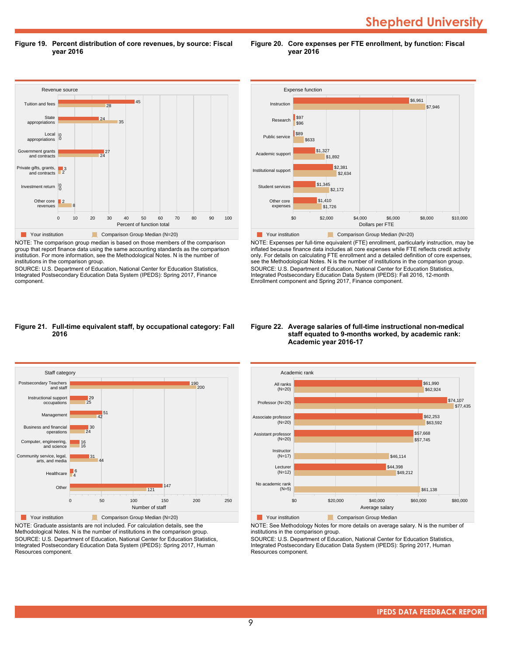**Shepherd University** 

**Figure 19. Percent distribution of core revenues, by source: Fiscal year 2016**

**Figure 20. Core expenses per FTE enrollment, by function: Fiscal year 2016**



NOTE: The comparison group median is based on those members of the comparison group that report finance data using the same accounting standards as the comparison institution. For more information, see the Methodological Notes. N is the number of institutions in the comparison group.

SOURCE: U.S. Department of Education, National Center for Education Statistics, Integrated Postsecondary Education Data System (IPEDS): Spring 2017, Finance component.



NOTE: Expenses per full-time equivalent (FTE) enrollment, particularly instruction, may be inflated because finance data includes all core expenses while FTE reflects credit activity only. For details on calculating FTE enrollment and a detailed definition of core expenses, see the Methodological Notes. N is the number of institutions in the comparison group. SOURCE: U.S. Department of Education, National Center for Education Statistics, Integrated Postsecondary Education Data System (IPEDS): Fall 2016, 12-month Enrollment component and Spring 2017, Finance component.

#### **Figure 21. Full-time equivalent staff, by occupational category: Fall 2016**



NOTE: Graduate assistants are not included. For calculation details, see the Methodological Notes. N is the number of institutions in the comparison group. SOURCE: U.S. Department of Education, National Center for Education Statistics, Integrated Postsecondary Education Data System (IPEDS): Spring 2017, Human Resources component.

#### **Figure 22. Average salaries of full-time instructional non-medical staff equated to 9-months worked, by academic rank: Academic year 2016-17**



NOTE: See Methodology Notes for more details on average salary. N is the number of

institutions in the comparison group.

SOURCE: U.S. Department of Education, National Center for Education Statistics, Integrated Postsecondary Education Data System (IPEDS): Spring 2017, Human Resources component.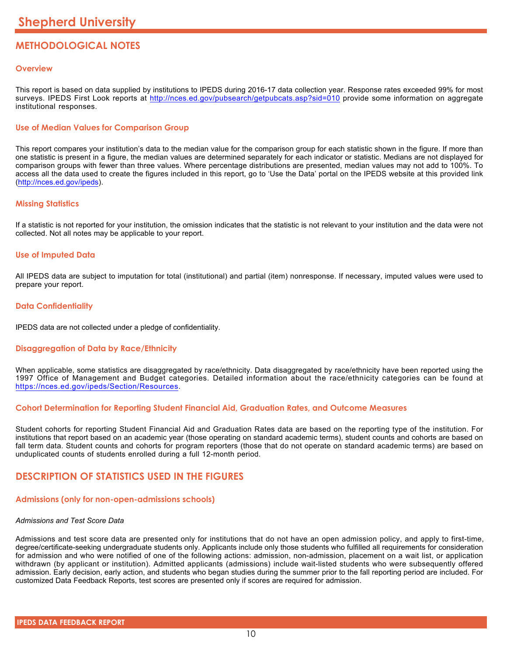# **METHODOLOGICAL NOTES**

# **Overview**

This report is based on data supplied by institutions to IPEDS during 2016-17 data collection year. Response rates exceeded 99% for most surveys. IPEDS First Look reports at <http://nces.ed.gov/pubsearch/getpubcats.asp?sid=010> provide some information on aggregate institutional responses.

# **Use of Median Values for Comparison Group**

This report compares your institution's data to the median value for the comparison group for each statistic shown in the figure. If more than one statistic is present in a figure, the median values are determined separately for each indicator or statistic. Medians are not displayed for comparison groups with fewer than three values. Where percentage distributions are presented, median values may not add to 100%. To access all the data used to create the figures included in this report, go to 'Use the Data' portal on the IPEDS website at this provided link (<http://nces.ed.gov/ipeds>).

# **Missing Statistics**

If a statistic is not reported for your institution, the omission indicates that the statistic is not relevant to your institution and the data were not collected. Not all notes may be applicable to your report.

# **Use of Imputed Data**

All IPEDS data are subject to imputation for total (institutional) and partial (item) nonresponse. If necessary, imputed values were used to prepare your report.

# **Data Confidentiality**

IPEDS data are not collected under a pledge of confidentiality.

# **Disaggregation of Data by Race/Ethnicity**

When applicable, some statistics are disaggregated by race/ethnicity. Data disaggregated by race/ethnicity have been reported using the 1997 Office of Management and Budget categories. Detailed information about the race/ethnicity categories can be found at <https://nces.ed.gov/ipeds/Section/Resources>.

# **Cohort Determination for Reporting Student Financial Aid, Graduation Rates, and Outcome Measures**

Student cohorts for reporting Student Financial Aid and Graduation Rates data are based on the reporting type of the institution. For institutions that report based on an academic year (those operating on standard academic terms), student counts and cohorts are based on fall term data. Student counts and cohorts for program reporters (those that do not operate on standard academic terms) are based on unduplicated counts of students enrolled during a full 12-month period.

# **DESCRIPTION OF STATISTICS USED IN THE FIGURES**

# **Admissions (only for non-open-admissions schools)**

#### *Admissions and Test Score Data*

Admissions and test score data are presented only for institutions that do not have an open admission policy, and apply to first-time, degree/certificate-seeking undergraduate students only. Applicants include only those students who fulfilled all requirements for consideration for admission and who were notified of one of the following actions: admission, non-admission, placement on a wait list, or application withdrawn (by applicant or institution). Admitted applicants (admissions) include wait-listed students who were subsequently offered admission. Early decision, early action, and students who began studies during the summer prior to the fall reporting period are included. For customized Data Feedback Reports, test scores are presented only if scores are required for admission.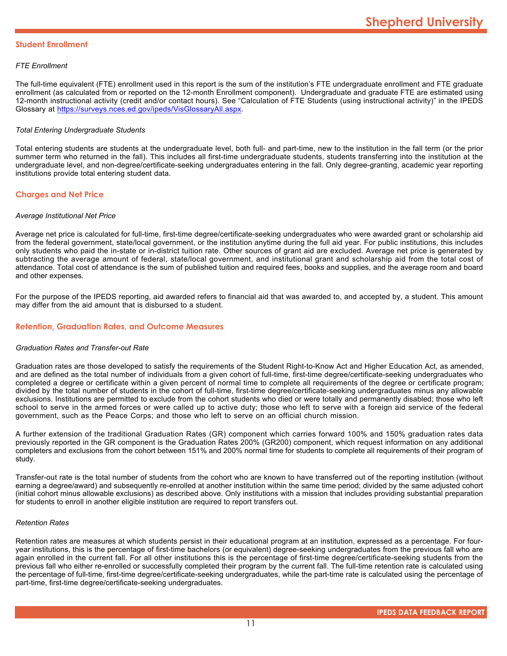### **Student Enrollment**

### *FTE Enrollment*

The full-time equivalent (FTE) enrollment used in this report is the sum of the institution's FTE undergraduate enrollment and FTE graduate enrollment (as calculated from or reported on the 12-month Enrollment component). Undergraduate and graduate FTE are estimated using 12-month instructional activity (credit and/or contact hours). See "Calculation of FTE Students (using instructional activity)" in the IPEDS Glossary at <https://surveys.nces.ed.gov/ipeds/VisGlossaryAll.aspx>.

### *Total Entering Undergraduate Students*

Total entering students are students at the undergraduate level, both full- and part-time, new to the institution in the fall term (or the prior summer term who returned in the fall). This includes all first-time undergraduate students, students transferring into the institution at the undergraduate level, and non-degree/certificate-seeking undergraduates entering in the fall. Only degree-granting, academic year reporting institutions provide total entering student data.

# **Charges and Net Price**

#### *Average Institutional Net Price*

Average net price is calculated for full-time, first-time degree/certificate-seeking undergraduates who were awarded grant or scholarship aid from the federal government, state/local government, or the institution anytime during the full aid year. For public institutions, this includes only students who paid the in-state or in-district tuition rate. Other sources of grant aid are excluded. Average net price is generated by subtracting the average amount of federal, state/local government, and institutional grant and scholarship aid from the total cost of attendance. Total cost of attendance is the sum of published tuition and required fees, books and supplies, and the average room and board and other expenses.

For the purpose of the IPEDS reporting, aid awarded refers to financial aid that was awarded to, and accepted by, a student. This amount may differ from the aid amount that is disbursed to a student.

# **Retention, Graduation Rates, and Outcome Measures**

#### *Graduation Rates and Transfer-out Rate*

Graduation rates are those developed to satisfy the requirements of the Student Right-to-Know Act and Higher Education Act, as amended, and are defined as the total number of individuals from a given cohort of full-time, first-time degree/certificate-seeking undergraduates who completed a degree or certificate within a given percent of normal time to complete all requirements of the degree or certificate program; divided by the total number of students in the cohort of full-time, first-time degree/certificate-seeking undergraduates minus any allowable exclusions. Institutions are permitted to exclude from the cohort students who died or were totally and permanently disabled; those who left school to serve in the armed forces or were called up to active duty; those who left to serve with a foreign aid service of the federal government, such as the Peace Corps; and those who left to serve on an official church mission.

A further extension of the traditional Graduation Rates (GR) component which carries forward 100% and 150% graduation rates data previously reported in the GR component is the Graduation Rates 200% (GR200) component, which request information on any additional completers and exclusions from the cohort between 151% and 200% normal time for students to complete all requirements of their program of study.

Transfer-out rate is the total number of students from the cohort who are known to have transferred out of the reporting institution (without earning a degree/award) and subsequently re-enrolled at another institution within the same time period; divided by the same adjusted cohort (initial cohort minus allowable exclusions) as described above. Only institutions with a mission that includes providing substantial preparation for students to enroll in another eligible institution are required to report transfers out.

#### *Retention Rates*

Retention rates are measures at which students persist in their educational program at an institution, expressed as a percentage. For fouryear institutions, this is the percentage of first-time bachelors (or equivalent) degree-seeking undergraduates from the previous fall who are again enrolled in the current fall. For all other institutions this is the percentage of first-time degree/certificate-seeking students from the previous fall who either re-enrolled or successfully completed their program by the current fall. The full-time retention rate is calculated using the percentage of full-time, first-time degree/certificate-seeking undergraduates, while the part-time rate is calculated using the percentage of part-time, first-time degree/certificate-seeking undergraduates.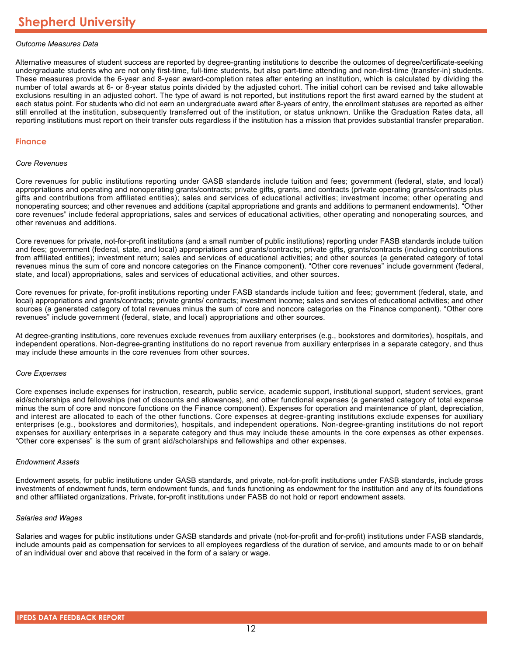### *Outcome Measures Data*

Alternative measures of student success are reported by degree-granting institutions to describe the outcomes of degree/certificate-seeking undergraduate students who are not only first-time, full-time students, but also part-time attending and non-first-time (transfer-in) students. These measures provide the 6-year and 8-year award-completion rates after entering an institution, which is calculated by dividing the number of total awards at 6- or 8-year status points divided by the adjusted cohort. The initial cohort can be revised and take allowable exclusions resulting in an adjusted cohort. The type of award is not reported, but institutions report the first award earned by the student at each status point. For students who did not earn an undergraduate award after 8-years of entry, the enrollment statuses are reported as either still enrolled at the institution, subsequently transferred out of the institution, or status unknown. Unlike the Graduation Rates data, all reporting institutions must report on their transfer outs regardless if the institution has a mission that provides substantial transfer preparation.

#### **Finance**

#### *Core Revenues*

Core revenues for public institutions reporting under GASB standards include tuition and fees; government (federal, state, and local) appropriations and operating and nonoperating grants/contracts; private gifts, grants, and contracts (private operating grants/contracts plus gifts and contributions from affiliated entities); sales and services of educational activities; investment income; other operating and nonoperating sources; and other revenues and additions (capital appropriations and grants and additions to permanent endowments). "Other core revenues" include federal appropriations, sales and services of educational activities, other operating and nonoperating sources, and other revenues and additions.

Core revenues for private, not-for-profit institutions (and a small number of public institutions) reporting under FASB standards include tuition and fees; government (federal, state, and local) appropriations and grants/contracts; private gifts, grants/contracts (including contributions from affiliated entities); investment return; sales and services of educational activities; and other sources (a generated category of total revenues minus the sum of core and noncore categories on the Finance component). "Other core revenues" include government (federal, state, and local) appropriations, sales and services of educational activities, and other sources.

Core revenues for private, for-profit institutions reporting under FASB standards include tuition and fees; government (federal, state, and local) appropriations and grants/contracts; private grants/ contracts; investment income; sales and services of educational activities; and other sources (a generated category of total revenues minus the sum of core and noncore categories on the Finance component). "Other core revenues" include government (federal, state, and local) appropriations and other sources.

At degree-granting institutions, core revenues exclude revenues from auxiliary enterprises (e.g., bookstores and dormitories), hospitals, and independent operations. Non-degree-granting institutions do no report revenue from auxiliary enterprises in a separate category, and thus may include these amounts in the core revenues from other sources.

#### *Core Expenses*

Core expenses include expenses for instruction, research, public service, academic support, institutional support, student services, grant aid/scholarships and fellowships (net of discounts and allowances), and other functional expenses (a generated category of total expense minus the sum of core and noncore functions on the Finance component). Expenses for operation and maintenance of plant, depreciation, and interest are allocated to each of the other functions. Core expenses at degree-granting institutions exclude expenses for auxiliary enterprises (e.g., bookstores and dormitories), hospitals, and independent operations. Non-degree-granting institutions do not report expenses for auxiliary enterprises in a separate category and thus may include these amounts in the core expenses as other expenses. "Other core expenses" is the sum of grant aid/scholarships and fellowships and other expenses.

#### *Endowment Assets*

Endowment assets, for public institutions under GASB standards, and private, not-for-profit institutions under FASB standards, include gross investments of endowment funds, term endowment funds, and funds functioning as endowment for the institution and any of its foundations and other affiliated organizations. Private, for-profit institutions under FASB do not hold or report endowment assets.

#### *Salaries and Wages*

Salaries and wages for public institutions under GASB standards and private (not-for-profit and for-profit) institutions under FASB standards, include amounts paid as compensation for services to all employees regardless of the duration of service, and amounts made to or on behalf of an individual over and above that received in the form of a salary or wage.